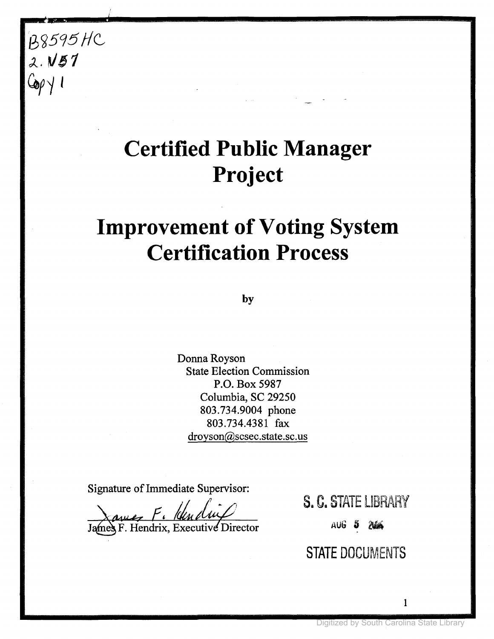## B8595 HC *J...V61*  $C_{\alpha\beta}$

# **Certified Public Manager Project**

## **Improvement of Voting System Certification Process**

**by**

Donna Royson State Election Commission P.O. Box 5987 Columbia, SC 29250 803.734.9004 phone 803.734.4381 fax droyson@scsec.state.sc.us

Signature of Immediate Supervisor:

James F. Hendrix, Executive Director

S. C. STATE LIBRARY

AUG 5 246

**STATE** DOCUMENTS

1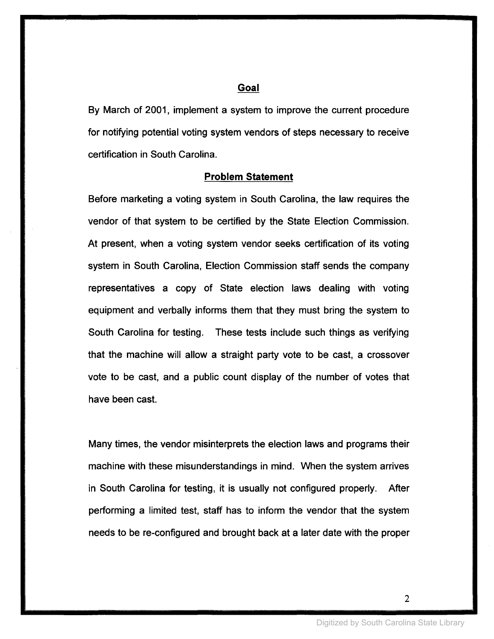#### **Goal**

By March of 2001, implement a system to improve the current procedure for notifying potential voting system vendors of steps necessary to receive certification in South Carolina.

#### **Problem Statement**

Before marketing a voting system in South Carolina, the law requires the vendor of that system to be certified by the State Election Commission. At present, when a voting system vendor seeks certification of its voting system in South Carolina, Election Commission staff sends the company representatives a copy of State election laws dealing with voting equipment and verbally informs them that they must bring the system to South Carolina for testing. These tests include such things as verifying that the machine will allow a straight party vote to be cast, a crossover vote to be cast, and a public count display of the number of votes that have been cast.

Many times, the vendor misinterprets the election laws and programs their machine with these misunderstandings in mind. When the system arrives in South Carolina for testing, it is usually not configured properly. After performing a limited test, staff has to inform the vendor that the system needs to be re-configured and brought back at a later date with the proper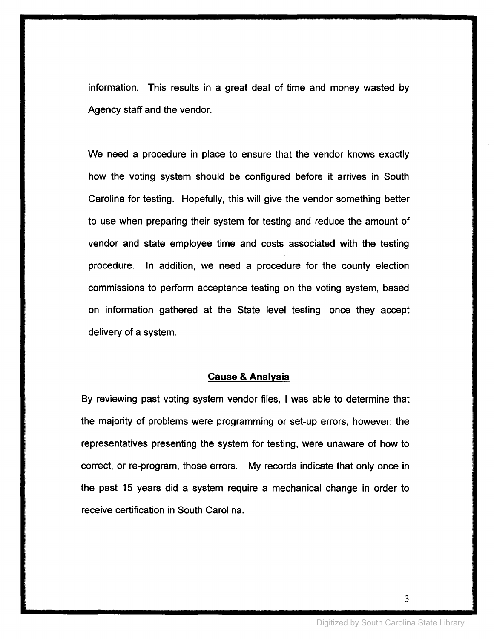information. This results in a great deal of time and money wasted by Agency staff and the vendor.

We need a procedure in place to ensure that the vendor knows exactly how the voting system should be configured before it arrives in South Carolina for testing. Hopefully, this will give the vendor something better to use when preparing their system for testing and reduce the amount of vendor and state employee time and costs associated with the testing procedure. In addition, we need a procedure for the county election commissions to perform acceptance testing on the voting system, based on information gathered at the State level testing, once they accept delivery of a system.

#### **Cause & Analysis**

By reviewing past voting system vendor files, I was able to determine that the majority of problems were programming or set-up errors; however; the representatives presenting the system for testing, were unaware of how to correct, or re-program, those errors. My records indicate that only once in the past 15 years did a system require a mechanical change in order to receive certification in South Carolina.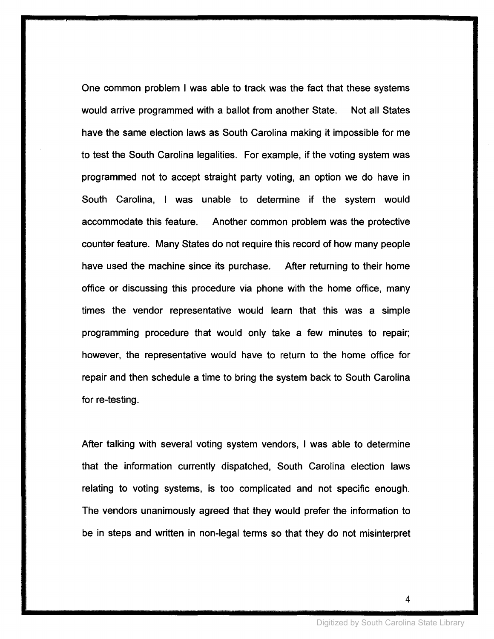One common problem I was able to track was the fact that these systems would arrive programmed with a ballot from another State. Not all States have the same election laws as South Carolina making it impossible for me to test the South Carolina legalities. For example, if the voting system was programmed not to accept straight party voting, an option we do have in South Carolina, I was unable to determine if the system would accommodate this feature. Another common problem was the protective counter feature. Many States do not require this record of how many people have used the machine since its purchase. After returning to their home office or discussing this procedure via phone with the home office, many times the vendor representative would learn that this was a simple programming procedure that would only take a few minutes to repair; however, the representative would have to return to the home office for repair and then schedule a time to bring the system back to South Carolina for re-testing.

After talking with several voting system vendors, I was able to determine that the information currently dispatched, South Carolina election laws relating to voting systems, is too complicated and not specific enough. The vendors unanimously agreed that they would prefer the information to be in steps and written in non-legal terms so that they do not misinterpret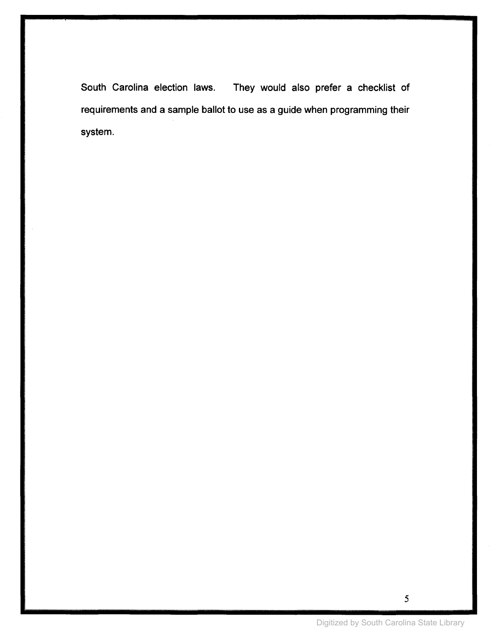South Carolina election laws. They would also prefer a checklist of requirements and a sample ballot to use as a guide when programming their system.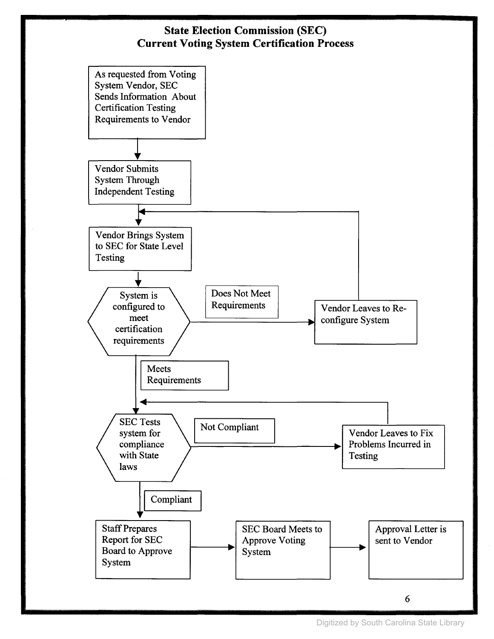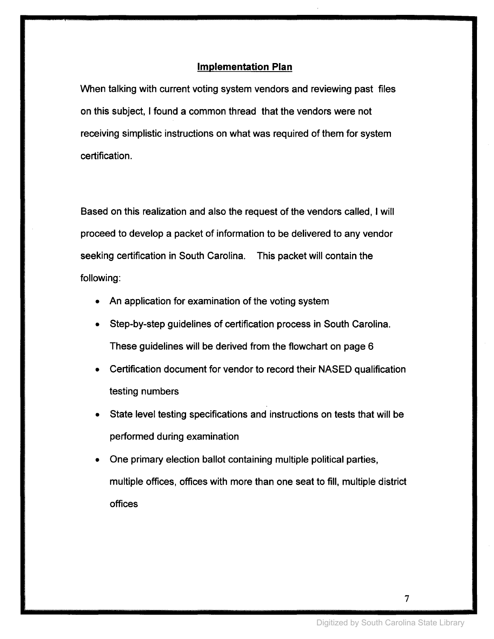#### **Implementation Plan**

When talking with current voting system vendors and reviewing past files on this subject, I found a common thread that the vendors were not receiving simplistic instructions on what was required of them for system certification.

Based on this realization and also the request of the vendors called, I will proceed to develop a packet of information to be delivered to any vendor seeking certification in South Carolina. This packet will contain the following:

- An application for examination of the voting system
- Step-by-step guidelines of certification process in South Carolina. These guidelines will be derived from the flowchart on page 6
- Certification document for vendor to record their NASED qualification testing numbers
- State level testing specifications and instructions on tests that will be performed during examination
- One primary election ballot containing multiple political parties, multiple offices, offices with more than one seat to fill, multiple district offices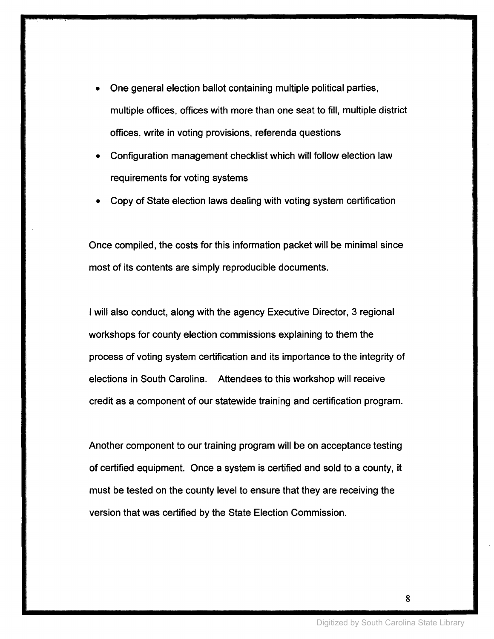- One general election ballot containing multiple political parties, multiple offices, offices with more than one seat to fill, multiple district offices, write in voting provisions, referenda questions
- Configuration management checklist which will follow election law requirements for voting systems
- Copy of State election laws dealing with voting system certification

Once compiled, the costs for this information packet will be minimal since most of its contents are simply reproducible documents.

I will also conduct, along with the agency Executive Director, 3 regional workshops for county election commissions explaining to them the process of voting system certification and its importance to the integrity of elections in South Carolina. Attendees to this workshop will receive credit as a component of our statewide training and certification program.

Another component to our training program will be on acceptance testing of certified equipment. Once a system is certified and sold to a county, it must be tested on the county level to ensure that they are receiving the version that was certified by the State Election Commission.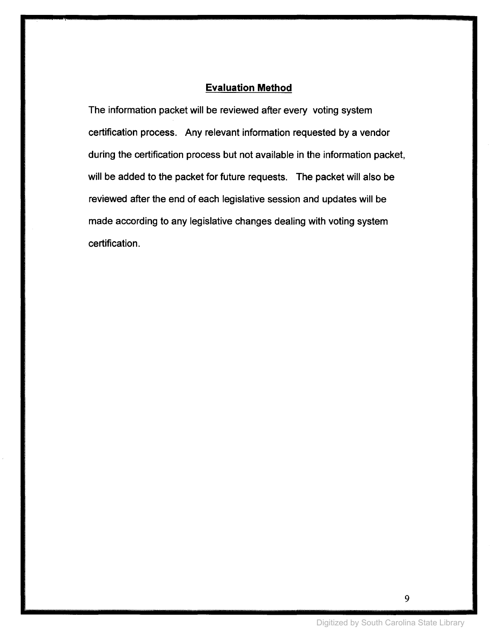### **Evaluation Method**

The information packet will be reviewed after every voting system certification process. Any relevant information requested by a vendor during the certification process but not available in the information packet, will be added to the packet for future requests. The packet will also be reviewed after the end of each legislative session and updates will be made according to any legislative changes dealing with voting system certification.